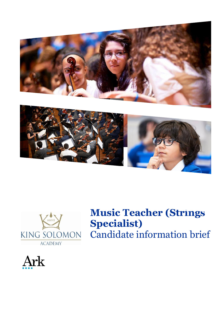



**Music Teacher (Strings Specialist)** Candidate information brief

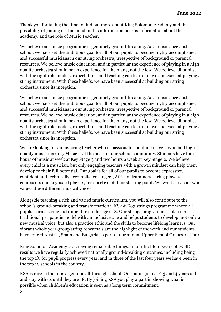Thank you for taking the time to find out more about King Solomon Academy and the possibility of joining us. Included in this information pack is information about the academy, and the role of Music Teacher.

We believe our music programme is genuinely ground-breaking. As a music specialist school, we have set the ambitious goal for all of our pupils to become highly accomplished and successful musicians in our string orchestra, irrespective of background or parental resources. We believe music education, and in particular the experience of playing in a high quality orchestra should be an experience for the many, not the few. We believe all pupils, with the right role models, expectations and teaching can learn to love and excel at playing a string instrument. With these beliefs, we have been successful at building our string orchestra since its inception.

We believe our music programme is genuinely ground-breaking. As a music specialist school, we have set the ambitious goal for all of our pupils to become highly accomplished and successful musicians in our string orchestra, irrespective of background or parental resources. We believe music education, and in particular the experience of playing in a high quality orchestra should be an experience for the many, not the few. We believe all pupils, with the right role models, expectations and teaching can learn to love and excel at playing a string instrument. With these beliefs, we have been successful at building our string orchestra since its inception.

We are looking for an inspiring teacher who is passionate about inclusive, joyful and highquality music-making. Music is at the heart of our school community. Students have four hours of music at week at Key Stage 3 and two hours a week at Key Stage 2. We believe every child is a musician, but only engaging teachers with a growth mindset can help them develop to their full potential. Our goal is for all of our pupils to become expressive, confident and technically accomplished singers, African drummers, string players, composers and keyboard players, irrespective of their starting point. We want a teacher who values these different musical voices.

Alongside teaching a rich and varied music curriculum, you will also contribute to the school's ground-breaking and transformational KS2 & KS3 strings programme where all pupils learn a string instrument from the age of 8. Our strings programme replaces a traditional peripatetic model with an inclusive one and helps students to develop, not only a new musical voice, but also a practice ethic and the skills to become lifelong learners. Our vibrant whole year-group string rehearsals are the highlight of the week and our students have toured Austria, Spain and Bulgaria as part of our annual Upper School Orchestra Tour.

King Solomon Academy is achieving remarkable things. In our first four years of GCSE results we have regularly achieved nationally ground-breaking outcomes, including being the top 1% for pupil progress every year, and in three of the last four years we have been in the top 10 schools in the country.

KSA is rare in that it is a genuine all-through school. Our pupils join at 2,3 and 4 years old and stay with us until they are 18. By joining KSA you play a part in showing what is possible when children's education is seen as a long term commitment.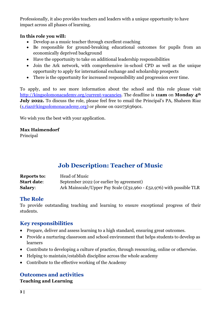Professionally, it also provides teachers and leaders with a unique opportunity to have impact across all phases of learning.

#### **In this role you will:**

- Develop as a music teacher through excellent coaching
- Be responsible for ground-breaking educational outcomes for pupils from an economically deprived background
- Have the opportunity to take on additional leadership responsibilities
- Join the Ark network, with comprehensive in-school CPD as well as the unique opportunity to apply for international exchange and scholarship prospects
- There is the opportunity for increased responsibility and progression over time.

To apply, and to see more information about the school and this role please visit [http://kingsolomonacademy.org/current-vacancies.](http://kingsolomonacademy.org/current-vacancies) The deadline is **11am** on **Monday 4th July 2022.** To discuss the role, please feel free to email the Principal's PA, Shaheen Riaz [\(s.riaz@kingsolomonacademy.org\)](mailto:s.riaz@kingsolomonacademy.org) or phone on 02075636901.

We wish you the best with your application.

#### **Max Haimendorf** Principal

## **Job Description: Teacher of Music**

| <b>Reports to:</b> | Head of Music                                                       |
|--------------------|---------------------------------------------------------------------|
| <b>Start date:</b> | September 2022 (or earlier by agreement)                            |
| <b>Salary:</b>     | Ark Mainscale/Upper Pay Scale (£32,960 - £52,976) with possible TLR |

### **The Role**

To provide outstanding teaching and learning to ensure exceptional progress of their students.

### **Key responsibilities**

- Prepare, deliver and assess learning to a high standard, ensuring great outcomes.
- Provide a nurturing classroom and school environment that helps students to develop as learners
- Contribute to developing a culture of practice, through resourcing, online or otherwise.
- Helping to maintain/establish discipline across the whole academy
- Contribute to the effective working of the Academy

### **Outcomes and activities**

#### **Teaching and Learning**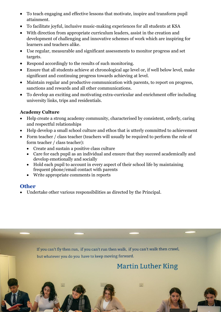- To teach engaging and effective lessons that motivate, inspire and transform pupil attainment.
- To facilitate joyful, inclusive music-making experiences for all students at KSA
- With direction from appropriate curriculum leaders, assist in the creation and development of challenging and innovative schemes of work which are inspiring for learners and teachers alike.
- Use regular, measurable and significant assessments to monitor progress and set targets.
- Respond accordingly to the results of such monitoring.
- Ensure that all students achieve at chronological age level or, if well below level, make significant and continuing progress towards achieving at level.
- Maintain regular and productive communication with parents, to report on progress, sanctions and rewards and all other communications.
- To develop an exciting and motivating extra-curricular and enrichment offer including university links, trips and residentials.

### **Academy Culture**

- Help create a strong academy community, characterised by consistent, orderly, caring and respectful relationships
- Help develop a small school culture and ethos that is utterly committed to achievement
- Form teacher / class teacher (teachers will usually be required to perform the role of form teacher / class teacher):
	- Create and sustain a positive class culture
	- Care for each pupil as an individual and ensure that they succeed academically and develop emotionally and socially
	- Hold each pupil to account in every aspect of their school life by maintaining frequent phone/email contact with parents
	- Write appropriate comments in reports

## **Other**

**4 |**

• Undertake other various responsibilities as directed by the Principal.

If you can't fly then run, if you can't run then walk, if you can't walk then crawl, but whatever you do you have to keep moving forward.

# **Martin Luther King**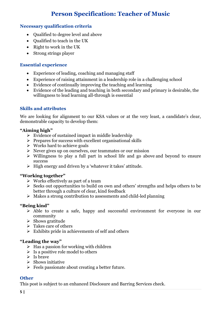## **Person Specification: Teacher of Music**

#### **Necessary qualification criteria**

- Qualified to degree level and above
- Qualified to teach in the UK
- Right to work in the UK
- Strong strings player

#### **Essential experience**

- Experience of leading, coaching and managing staff
- Experience of raising attainment in a leadership role in a challenging school
- Evidence of continually improving the teaching and learning
- Evidence of the leading and teaching in both secondary and primary is desirable, the willingness to lead learning all-through is essential

#### **Skills and attributes**

We are looking for alignment to our KSA values or at the very least, a candidate's clear, demonstrable capacity to develop them:

#### **"Aiming high"**

- $\triangleright$  Evidence of sustained impact in middle leadership
- $\triangleright$  Prepares for success with excellent organisational skills
- $\triangleright$  Works hard to achieve goals
- ➢ Never gives up on ourselves, our teammates or our mission
- ➢ Willingness to play a full part in school life and go above and beyond to ensure success
- $\triangleright$  High energy and driven by a 'whatever it takes' attitude.

#### **"Working together"**

- $\triangleright$  Works effectively as part of a team
- ➢ Seeks out opportunities to build on own and others' strengths and helps others to be better through a culture of clear, kind feedback
- ➢ Makes a strong contribution to assessments and child-led planning

#### **"Being kind"**

- ➢ Able to create a safe, happy and successful environment for everyone in our community
- $\triangleright$  Shows gratitude
- $\triangleright$  Takes care of others
- $\triangleright$  Exhibits pride in achievements of self and others

#### **"Leading the way"**

- $\triangleright$  Has a passion for working with children
- $\triangleright$  Is a positive role model to others
- $\triangleright$  Is brave
- $\triangleright$  Shows initiative
- ➢ Feels passionate about creating a better future.

#### **Other**

This post is subject to an enhanced Disclosure and Barring Services check.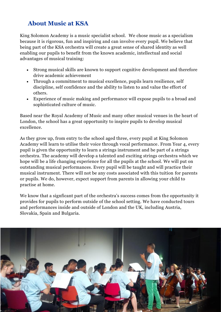## **About Music at KSA**

King Solomon Academy is a music specialist school. We chose music as a specialism because it is rigorous, fun and inspiring and can involve every pupil. We believe that being part of the KSA orchestra will create a great sense of shared identity as well enabling our pupils to benefit from the known academic, intellectual and social advantages of musical training:

- Strong musical skills are known to support cognitive development and therefore drive academic achievement
- Through a commitment to musical excellence, pupils learn resilience, self discipline, self confidence and the ability to listen to and value the effort of others.
- Experience of music making and performance will expose pupils to a broad and sophisticated culture of music.

Based near the Royal Academy of Music and many other musical venues in the heart of London, the school has a great opportunity to inspire pupils to develop musical excellence.

As they grow up, from entry to the school aged three, every pupil at King Solomon Academy will learn to utilise their voice through vocal performance. From Year 4, every pupil is given the opportunity to learn a strings instrument and be part of a strings orchestra. The academy will develop a talented and exciting strings orchestra which we hope will be a life changing experience for all the pupils at the school. We will put on outstanding musical performances. Every pupil will be taught and will practice their musical instrument. There will not be any costs associated with this tuition for parents or pupils. We do, however, expect support from parents in allowing your child to practise at home.

We know that a signficant part of the orchestra's success comes from the opportunity it provides for pupils to perform outside of the school setting. We have conducted tours and performances inside and outside of London and the UK, including Austria, Slovakia, Spain and Bulgaria.

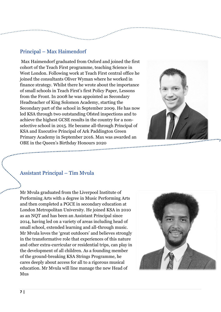#### Principal – Max Haimendorf

Max Haimendorf graduated from Oxford and joined the first cohort of the Teach First programme, teaching Science in West London. Following work at Teach First central office he joined the consultants Oliver Wyman where he worked in finance strategy. Whilst there he wrote about the importance of small schools in Teach First's first Policy Paper, Lessons from the Front. In 2008 he was appointed as Secondary Headteacher of King Solomon Academy, starting the Secondary part of the school in September 2009. He has now led KSA through two outstanding Ofsted inspections and to achieve the highest GCSE results in the country for a nonselective school in 2015. He became all-through Principal of KSA and Executive Principal of Ark Paddington Green Primary Academy in September 2016. Max was awarded an OBE in the Queen's Birthday Honours 2020



#### Assistant Principal – Tim Mvula

Mr Mvula graduated from the Liverpool Institute of Performing Arts with a degree in Music Performing Arts and then completed a PGCE in secondary education at London Metropolitan University. He joined KSA in 2010 as an NQT and has been an Assistant Principal since 2014, having led on a variety of areas including head of small school, extended learning and all-through music. Mr Mvula loves the 'great outdoors' and believes strongly in the transformative role that experiences of this nature and other extra-curricular or residential trips, can play in the development of all children. As a founding member of the ground-breaking KSA Strings Programme, he cares deeply about access for all to a rigorous musical education. Mr Mvula will line manage the new Head of Mus

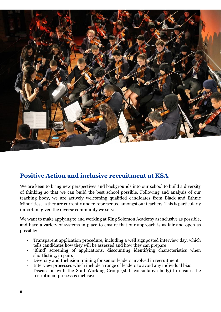

## **Positive Action and inclusive recruitment at KSA**

We are keen to bring new perspectives and backgrounds into our school to build a diversity of thinking so that we can build the best school possible. Following and analysis of our teaching body, we are actively welcoming qualified candidates from Black and Ethnic Minorities, as they are currently under-represented amongst our teachers. This is particularly important given the diverse community we serve.

We want to make applying to and working at King Solomon Academy as inclusive as possible, and have a variety of systems in place to ensure that our approach is as fair and open as possible:

- Transparent application procedure, including a well signposted interview day, which tells candidates how they will be assessed and how they can prepare
- 'Blind' screening of applications, discounting identifying characteristics when shortlisting, in pairs
- Diversity and Inclusion training for senior leaders involved in recruitment
- Interview processes which include a range of leaders to avoid any individual bias
- Discussion with the Staff Working Group (staff consultative body) to ensure the recruitment process is inclusive.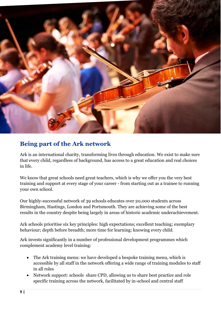

## **Being part of the Ark network**

Ark is an international charity, transforming lives through education. We exist to make sure that every child, regardless of background, has access to a great education and real choices in life.

We know that great schools need great teachers, which is why we offer you the very best training and support at every stage of your career - from starting out as a trainee to running your own school.

Our highly-successful network of 39 schools educates over 20,000 students across Birmingham, Hastings, London and Portsmouth. They are achieving some of the best results in the country despite being largely in areas of historic academic underachievement.

Ark schools prioritise six key principles: high expectations; excellent teaching; exemplary behaviour; depth before breadth; more time for learning; knowing every child.

Ark invests significantly in a number of professional development programmes which complement academy level training:

- The Ark training menu: we have developed a bespoke training menu, which is accessible by all staff in the network offering a wide range of training modules to staff in all roles
- Network support: schools share CPD, allowing us to share best practice and role specific training across the network, facilitated by in-school and central staff